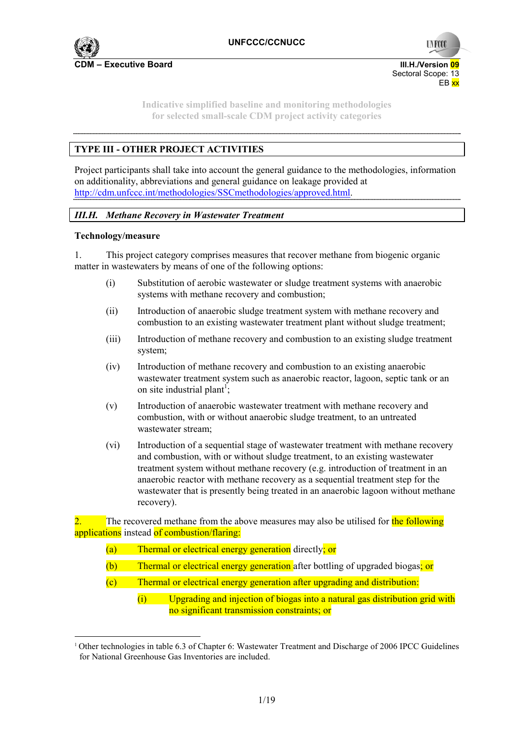

**UNFCC** 

**Indicative simplified baseline and monitoring methodologies for selected small-scale CDM project activity categories** 

## **TYPE III - OTHER PROJECT ACTIVITIES**

Project participants shall take into account the general guidance to the methodologies, information on additionality, abbreviations and general guidance on leakage provided at http://cdm.unfccc.int/methodologies/SSCmethodologies/approved.html.

## *III.H. Methane Recovery in Wastewater Treatment*

#### **Technology/measure**

1. This project category comprises measures that recover methane from biogenic organic matter in wastewaters by means of one of the following options:

- (i) Substitution of aerobic wastewater or sludge treatment systems with anaerobic systems with methane recovery and combustion;
- (ii) Introduction of anaerobic sludge treatment system with methane recovery and combustion to an existing wastewater treatment plant without sludge treatment;
- (iii) Introduction of methane recovery and combustion to an existing sludge treatment system;
- (iv) Introduction of methane recovery and combustion to an existing anaerobic wastewater treatment system such as anaerobic reactor, lagoon, septic tank or an on site industrial plant<sup>1</sup>;
- (v) Introduction of anaerobic wastewater treatment with methane recovery and combustion, with or without anaerobic sludge treatment, to an untreated wastewater stream;
- (vi) Introduction of a sequential stage of wastewater treatment with methane recovery and combustion, with or without sludge treatment, to an existing wastewater treatment system without methane recovery (e.g. introduction of treatment in an anaerobic reactor with methane recovery as a sequential treatment step for the wastewater that is presently being treated in an anaerobic lagoon without methane recovery).

2. The recovered methane from the above measures may also be utilised for the following applications instead of combustion/flaring:

- (a) Thermal or electrical energy generation directly; or
- (b) Thermal or electrical energy generation after bottling of upgraded biogas; or
- (c) Thermal or electrical energy generation after upgrading and distribution:
	- (i) Upgrading and injection of biogas into a natural gas distribution grid with no significant transmission constraints; or

<sup>&</sup>lt;sup>1</sup> Other technologies in table 6.3 of Chapter 6: Wastewater Treatment and Discharge of 2006 IPCC Guidelines for National Greenhouse Gas Inventories are included.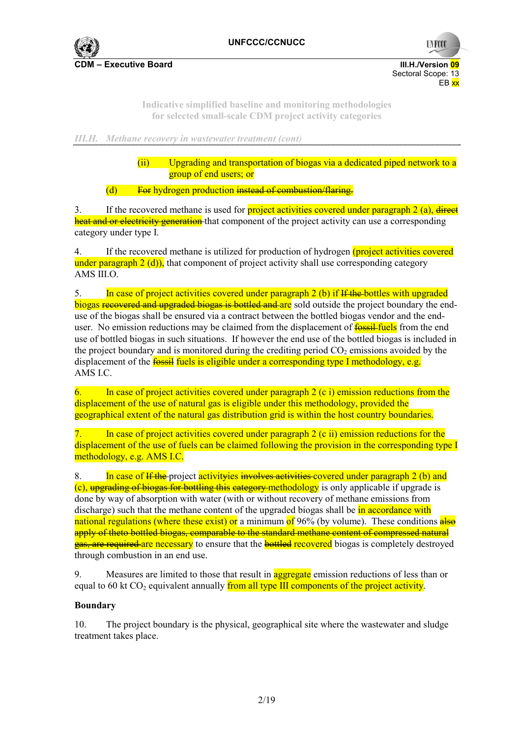

**UNFCC** 

**Indicative simplified baseline and monitoring methodologies for selected small-scale CDM project activity categories** 

*III.H. Methane recovery in wastewater treatment (cont)* 

 $(iii)$  Upgrading and transportation of biogas via a dedicated piped network to a group of end users; or

(d) For hydrogen production instead of combustion/flaring.

3. If the recovered methane is used for **project activities covered under paragraph 2 (a)**, direct heat and or electricity generation that component of the project activity can use a corresponding category under type I.

4. If the recovered methane is utilized for production of hydrogen (project activities covered under paragraph  $2(d)$ , that component of project activity shall use corresponding category AMS III.O.

5. In case of project activities covered under paragraph 2 (b) if  $H$  the bottles with upgraded biogas recovered and upgraded biogas is bottled and are sold outside the project boundary the enduse of the biogas shall be ensured via a contract between the bottled biogas vendor and the enduser. No emission reductions may be claimed from the displacement of **fossil-fuels** from the end use of bottled biogas in such situations. If however the end use of the bottled biogas is included in the project boundary and is monitored during the crediting period  $CO<sub>2</sub>$  emissions avoided by the displacement of the **fossil fuels is eligible under a corresponding type I methodology**, e.g. AMS I.C.

6. In case of project activities covered under paragraph  $2$  (c i) emission reductions from the displacement of the use of natural gas is eligible under this methodology, provided the geographical extent of the natural gas distribution grid is within the host country boundaries.

7. In case of project activities covered under paragraph 2 (c ii) emission reductions for the displacement of the use of fuels can be claimed following the provision in the corresponding type I methodology, e.g. AMS I.C.

8. In case of If the project activityies involves activities covered under paragraph 2 (b) and  $\alpha$ ), uperading of biogas for bottling this category methodology is only applicable if upgrade is done by way of absorption with water (with or without recovery of methane emissions from discharge) such that the methane content of the upgraded biogas shall be in accordance with national regulations (where these exist) or a minimum of 96% (by volume). These conditions also apply of theto bottled biogas, comparable to the standard methane content of compressed natural gas, are required are necessary to ensure that the **bottled recovered** biogas is completely destroyed through combustion in an end use.

9. Measures are limited to those that result in **aggregate** emission reductions of less than or equal to 60 kt CO<sub>2</sub> equivalent annually from all type III components of the project activity.

## **Boundary**

10. The project boundary is the physical, geographical site where the wastewater and sludge treatment takes place.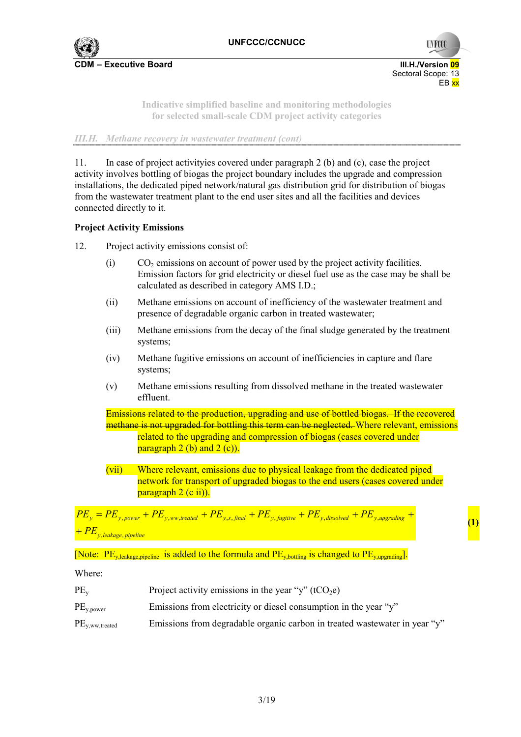

**UNFCC** 

**(1)** 

**Indicative simplified baseline and monitoring methodologies for selected small-scale CDM project activity categories** 

#### *III.H. Methane recovery in wastewater treatment (cont)*

11. In case of project activityies covered under paragraph 2 (b) and (c), case the project activity involves bottling of biogas the project boundary includes the upgrade and compression installations, the dedicated piped network/natural gas distribution grid for distribution of biogas from the wastewater treatment plant to the end user sites and all the facilities and devices connected directly to it.

## **Project Activity Emissions**

- 12. Project activity emissions consist of:
	- $(1)$  CO<sub>2</sub> emissions on account of power used by the project activity facilities. Emission factors for grid electricity or diesel fuel use as the case may be shall be calculated as described in category AMS I.D.;
	- (ii) Methane emissions on account of inefficiency of the wastewater treatment and presence of degradable organic carbon in treated wastewater;
	- (iii) Methane emissions from the decay of the final sludge generated by the treatment systems;
	- (iv) Methane fugitive emissions on account of inefficiencies in capture and flare systems;
	- (v) Methane emissions resulting from dissolved methane in the treated wastewater effluent.

Emissions related to the production, upgrading and use of bottled biogas. If the recovered methane is not upgraded for bottling this term can be neglected. Where relevant, emissions related to the upgrading and compression of biogas (cases covered under paragraph  $2$  (b) and  $2$  (c)).

(vii) Where relevant, emissions due to physical leakage from the dedicated piped network for transport of upgraded biogas to the end users (cases covered under paragraph 2 (c ii)).

$$
PE_y = PE_{y, power} + PE_{y, ww, treated} + PE_{y,s, final} + PE_{y, fugitive} + PE_{y, dissolved} + PE_{y, upgrading} +
$$
  
+  $PE_{y, leaves of the line}$ 

*y leakage pipeline* , , *PE*

[Note:  $PE_{v,leakage,pipeline}$  is added to the formula and  $PE_{v,botline}$  is changed to  $PE_{v,upgrading}$ ].

Where:

| $PE_v$               | Project activity emissions in the year "y" (tCO <sub>2</sub> e)             |
|----------------------|-----------------------------------------------------------------------------|
| $PE_{y, power}$      | Emissions from electricity or diesel consumption in the year "y"            |
| $PE_{y,ww, treated}$ | Emissions from degradable organic carbon in treated was tewater in year "y" |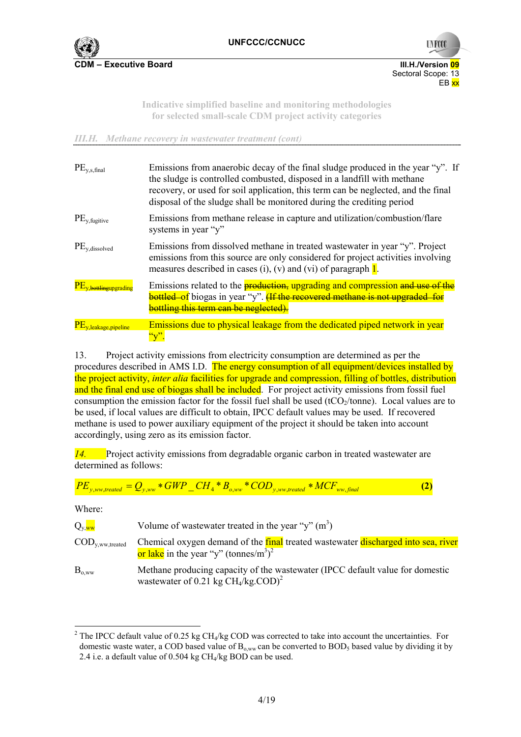

**UNFCC** 

**Indicative simplified baseline and monitoring methodologies for selected small-scale CDM project activity categories** 

*III.H. Methane recovery in wastewater treatment (cont)* 

| $PE_{v,s,final}$              | Emissions from anaerobic decay of the final sludge produced in the year "y". If<br>the sludge is controlled combusted, disposed in a landfill with methane<br>recovery, or used for soil application, this term can be neglected, and the final<br>disposal of the sludge shall be monitored during the crediting period |
|-------------------------------|--------------------------------------------------------------------------------------------------------------------------------------------------------------------------------------------------------------------------------------------------------------------------------------------------------------------------|
| $PE_{y, \text{fugitive}}$     | Emissions from methane release in capture and utilization/combustion/flare<br>systems in year "y"                                                                                                                                                                                                                        |
| $PE_{v,dis solved}$           | Emissions from dissolved methane in treated wastewater in year "y". Project<br>emissions from this source are only considered for project activities involving<br>measures described in cases (i), (v) and (vi) of paragraph $\frac{1}{2}$ .                                                                             |
| <del>oottling</del> ungrading | Emissions related to the <b>production</b> , upgrading and compression and use of the<br><b>bottled</b> of biogas in year "y". (If the recovered methane is not upgraded for<br><del>bottling this term can be neglected).</del>                                                                                         |
| eakage pipeline               | Emissions due to physical leakage from the dedicated piped network in year<br>``y"                                                                                                                                                                                                                                       |

13. Project activity emissions from electricity consumption are determined as per the procedures described in AMS I.D. The energy consumption of all equipment/devices installed by the project activity, *inter alia* facilities for upgrade and compression, filling of bottles, distribution and the final end use of biogas shall be included. For project activity emissions from fossil fuel consumption the emission factor for the fossil fuel shall be used  $(tCO<sub>2</sub>/tonne)$ . Local values are to be used, if local values are difficult to obtain, IPCC default values may be used. If recovered methane is used to power auxiliary equipment of the project it should be taken into account accordingly, using zero as its emission factor.

*14.* Project activity emissions from degradable organic carbon in treated wastewater are determined as follows:

$$
PE_{y,ww, treated} = Q_{y,ww} * GWP \_CH_4 * B_{o,ww} * COD_{y,ww, treated} * MCF_{ww,final}
$$
 (2)

Where:

 $\overline{a}$ 

| $Q_{v,ww}$                            | Volume of wastewater treated in the year "y" $(m3)$                                                                                                |
|---------------------------------------|----------------------------------------------------------------------------------------------------------------------------------------------------|
| $\mathrm{COD}_{v,ww, \text{treated}}$ | Chemical oxygen demand of the final treated wastewater discharged into sea, river<br>or lake in the year "y" (tonnes/m <sup>3</sup> ) <sup>2</sup> |
| $B_{o,ww}$                            | Methane producing capacity of the wastewater (IPCC default value for domestic<br>wastewater of 0.21 kg $CH4/kg$ , COD) <sup>2</sup>                |

<sup>&</sup>lt;sup>2</sup> The IPCC default value of 0.25 kg CH<sub>4</sub>/kg COD was corrected to take into account the uncertainties. For domestic waste water, a COD based value of  $B_{o,ww}$  can be converted to  $BOD<sub>5</sub>$  based value by dividing it by 2.4 i.e. a default value of 0.504 kg  $CH<sub>4</sub>/kg BOD$  can be used.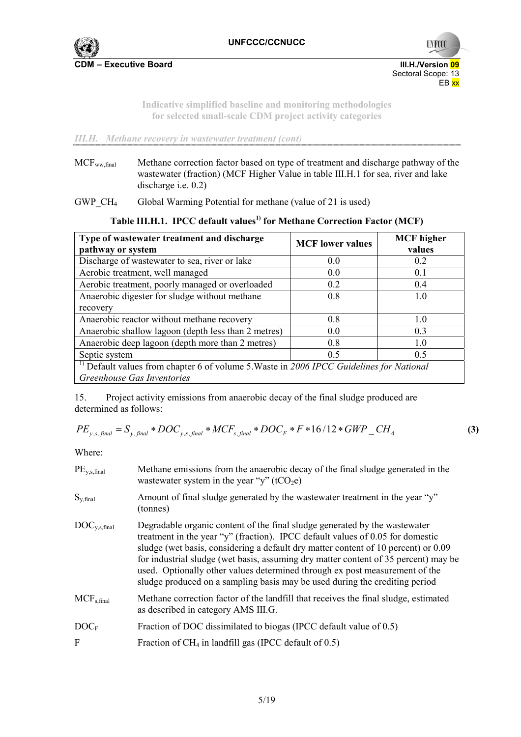

**UNFCC** 

**Indicative simplified baseline and monitoring methodologies for selected small-scale CDM project activity categories** 

*III.H. Methane recovery in wastewater treatment (cont)* 

MCF<sub>ww,final</sub> Methane correction factor based on type of treatment and discharge pathway of the wastewater (fraction) (MCF Higher Value in table III.H.1 for sea, river and lake discharge i.e. 0.2)

GWP CH<sub>4</sub> Global Warming Potential for methane (value of 21 is used)

| Type of wastewater treatment and discharge<br>pathway or system                                | <b>MCF</b> lower values | <b>MCF</b> higher<br>values |
|------------------------------------------------------------------------------------------------|-------------------------|-----------------------------|
| Discharge of was tewater to sea, river or lake                                                 | 0.0                     | 0.2                         |
| Aerobic treatment, well managed                                                                | 0.0                     | 0.1                         |
| Aerobic treatment, poorly managed or overloaded                                                | 0 <sub>2</sub>          | 04                          |
| Anaerobic digester for sludge without methane                                                  | 0.8                     | 1.0                         |
| recovery                                                                                       |                         |                             |
| Anaerobic reactor without methane recovery                                                     | 0.8                     | 1.0                         |
| Anaerobic shallow lagoon (depth less than 2 metres)                                            | 0.0                     | 0 <sup>3</sup>              |
| Anaerobic deep lagoon (depth more than 2 metres)                                               | 0.8                     | 1.0                         |
| Septic system                                                                                  | 0.5                     | 0.5                         |
| $^{1}$ ) Default values from chapter 6 of volume 5. Waste in 2006 IPCC Guidelines for National |                         |                             |
| Greenhouse Gas Inventories                                                                     |                         |                             |

# **Table III.H.1. IPCC default values1) for Methane Correction Factor (MCF)**

15. Project activity emissions from anaerobic decay of the final sludge produced are determined as follows:

$$
PE_{y,s,final} = S_{y,final} * DOC_{y,s,final} * MCF_{s,final} * DOC_{F} * F * 16/12 * GWP\_CH_{4}
$$
 (3)

Where:

| Methane emissions from the anaerobic decay of the final sludge generated in the<br>wastewater system in the year "y" ( $tCO2e$ )                                                                                                                                                                                                                                                                                                                                                                        |
|---------------------------------------------------------------------------------------------------------------------------------------------------------------------------------------------------------------------------------------------------------------------------------------------------------------------------------------------------------------------------------------------------------------------------------------------------------------------------------------------------------|
| Amount of final sludge generated by the wastewater treatment in the year "y"<br>(tonnes)                                                                                                                                                                                                                                                                                                                                                                                                                |
| Degradable organic content of the final sludge generated by the wastewater<br>treatment in the year "y" (fraction). IPCC default values of 0.05 for domestic<br>sludge (wet basis, considering a default dry matter content of 10 percent) or 0.09<br>for industrial sludge (wet basis, assuming dry matter content of 35 percent) may be<br>used. Optionally other values determined through ex post measurement of the<br>sludge produced on a sampling basis may be used during the crediting period |
| Methane correction factor of the landfill that receives the final sludge, estimated<br>as described in category AMS III.G.                                                                                                                                                                                                                                                                                                                                                                              |
| Fraction of DOC dissimilated to biogas (IPCC default value of 0.5)                                                                                                                                                                                                                                                                                                                                                                                                                                      |
| Fraction of $CH_4$ in landfill gas (IPCC default of 0.5)                                                                                                                                                                                                                                                                                                                                                                                                                                                |
|                                                                                                                                                                                                                                                                                                                                                                                                                                                                                                         |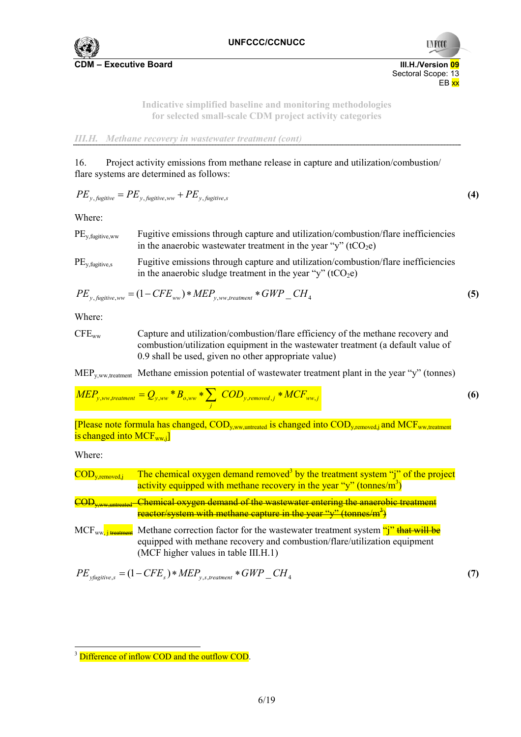



**Indicative simplified baseline and monitoring methodologies for selected small-scale CDM project activity categories** 

*III.H. Methane recovery in wastewater treatment (cont)* 

16. Project activity emissions from methane release in capture and utilization/combustion/ flare systems are determined as follows:

$$
PE_{y, \text{figure}} = PE_{y, \text{figure}, ww}} + PE_{y, \text{figure},s}
$$
\n(4)

Where:

| $PE_{y, \text{fugitive}, \text{ww}}$ | Fugitive emissions through capture and utilization/combustion/flare inefficiencies |
|--------------------------------------|------------------------------------------------------------------------------------|
|                                      | in the anaerobic wastewater treatment in the year "y" (tCO <sub>2</sub> e)         |

PE<sub>v.fugitive,s</sub> Fugitive emissions through capture and utilization/combustion/flare inefficiencies in the anaerobic sludge treatment in the year "y" (tCO<sub>2</sub>e)

$$
PE_{y, \text{figitive}, \text{ww}} = (1 - CFE_{\text{ww}}) * MEP_{y, \text{ww}, \text{treatment}} * GWP \_CH_4
$$
\n
$$
\tag{5}
$$

Where:

CFEww Capture and utilization/combustion/flare efficiency of the methane recovery and combustion/utilization equipment in the wastewater treatment (a default value of 0.9 shall be used, given no other appropriate value)

MEP<sub>y ww</sub> treatment Methane emission potential of wastewater treatment plant in the year "y" (tonnes)

$$
MEP_{y,ww, treatment} = Q_{y,ww} * B_{o,ww} * \sum_{j} COD_{y, removed, j} * MCF_{ww, j}
$$
 (6)

[Please note formula has changed, COD<sub>y,ww,untreated</sub> is changed into COD<sub>y,removed,j</sub> and MCF<sub>ww,treatment</sub> is changed into  $MCF_{ww,i}$ ]

Where:

| $\text{COD}_{y,\text{removed},j}$ | The chemical oxygen demand removed <sup>3</sup> by the treatment system " $j$ " of the project                                                                                                                                  |  |
|-----------------------------------|---------------------------------------------------------------------------------------------------------------------------------------------------------------------------------------------------------------------------------|--|
|                                   | activity equipped with methane recovery in the year "y" (tonnes/m <sup>3</sup> )                                                                                                                                                |  |
|                                   | reactor/system with methane capture in the year "y" (tonnes/m <sup>3</sup> )                                                                                                                                                    |  |
|                                   | MCF <sub>ww.jteatment</sub> Methane correction factor for the wastewater treatment system "j" that will be<br>equipped with methane recovery and combustion/flare/utilization equipment<br>(MCF higher values in table III.H.1) |  |
| $\mathbf{r}$                      | $\alpha$ $\mathbf{r}$ $\mathbf{r}$ $\alpha$ $\mathbf{r}$ $\mathbf{r}$ $\mathbf{r}$<br>$\alpha$                                                                                                                                  |  |

$$
PE_{\text{yfugitive},s} = (1 - CFE_s) * MEP_{\text{y,s,treatment}} * GWP \_CH_4 \tag{7}
$$

<sup>&</sup>lt;sup>3</sup> Difference of inflow COD and the outflow COD.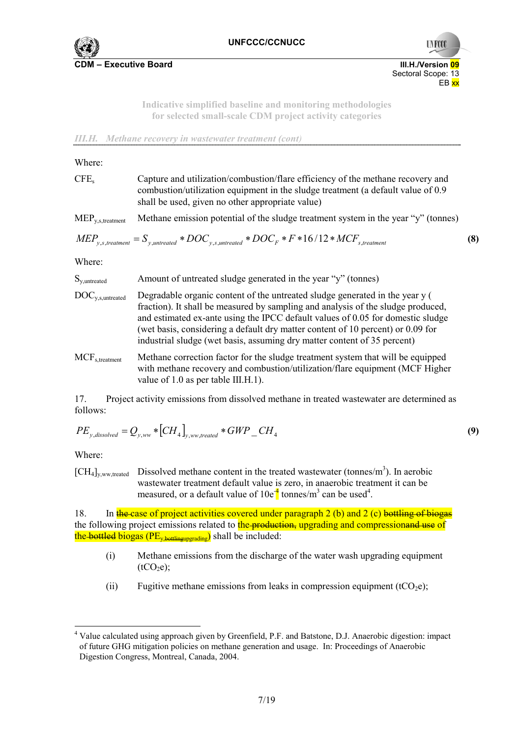



**Indicative simplified baseline and monitoring methodologies for selected small-scale CDM project activity categories** 

*III.H. Methane recovery in wastewater treatment (cont)* 

| Where:                              |                                                                                                                                                                                                                                                                                                                                                                                                                    |     |
|-------------------------------------|--------------------------------------------------------------------------------------------------------------------------------------------------------------------------------------------------------------------------------------------------------------------------------------------------------------------------------------------------------------------------------------------------------------------|-----|
| CFE                                 | Capture and utilization/combustion/flare efficiency of the methane recovery and<br>combustion/utilization equipment in the sludge treatment (a default value of 0.9<br>shall be used, given no other appropriate value)                                                                                                                                                                                            |     |
| $MEP_{v,s, treatment}$              | Methane emission potential of the sludge treatment system in the year "y" (tonnes)                                                                                                                                                                                                                                                                                                                                 |     |
|                                     | $MEP_{y,s, treatment} = S_{y, untreated} * DOC_{y,s, untreated} * DOC_{F} * F * 16/12 * MCF_{s, treatment}$                                                                                                                                                                                                                                                                                                        | (8) |
| Where:                              |                                                                                                                                                                                                                                                                                                                                                                                                                    |     |
| $S_{v,untreated}$                   | Amount of untreated sludge generated in the year "y" (tonnes)                                                                                                                                                                                                                                                                                                                                                      |     |
| $\text{DOC}_{v,s,\text{untreated}}$ | Degradable organic content of the untreated sludge generated in the year y (<br>fraction). It shall be measured by sampling and analysis of the sludge produced,<br>and estimated ex-ante using the IPCC default values of 0.05 for domestic sludge<br>(wet basis, considering a default dry matter content of 10 percent) or 0.09 for<br>industrial sludge (wet basis, assuming dry matter content of 35 percent) |     |
| $MCF_{s, treatment}$                | Methane correction factor for the sludge treatment system that will be equipped<br>with methane recovery and combustion/utilization/flare equipment (MCF Higher<br>value of 1.0 as per table III.H.1).                                                                                                                                                                                                             |     |

17. Project activity emissions from dissolved methane in treated wastewater are determined as follows:

$$
PE_{y,dis solved} = Q_{y,ww} * [CH_4]_{y,ww, treated} * GWP\_CH_4
$$
\n(9)

Where:

 $\overline{a}$ 

 $[CH<sub>4</sub>]<sub>y,ww, treated</sub> Dis solved methane content in the treated wastewater (tonnes/m<sup>3</sup>). In aerobic$ wastewater treatment default value is zero, in anaerobic treatment it can be measured, or a default value of 10e<sup>4</sup> tonnes/m<sup>3</sup> can be used<sup>4</sup>.

18. In the case of project activities covered under paragraph 2 (b) and 2 (c) bottling of biogas the following project emissions related to the production, upgrading and compressionand use of the bottled biogas ( $PE<sub>v</sub>$  bottlingupgrading) shall be included:

- (i) Methane emissions from the discharge of the water wash upgrading equipment  $(tCO<sub>2</sub>e);$
- (ii) Fugitive methane emissions from leaks in compression equipment (tCO<sub>2</sub>e);

<sup>&</sup>lt;sup>4</sup> Value calculated using approach given by Greenfield, P.F. and Batstone, D.J. Anaerobic digestion: impact of future GHG mitigation policies on methane generation and usage. In: Proceedings of Anaerobic Digestion Congress, Montreal, Canada, 2004.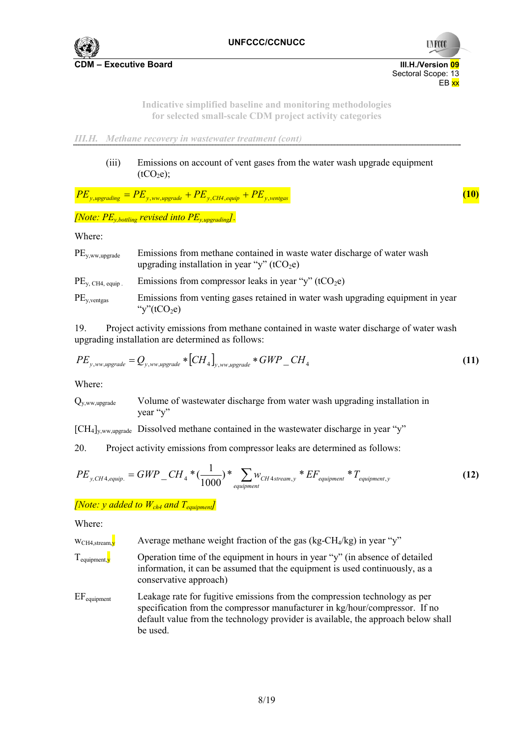



**Indicative simplified baseline and monitoring methodologies for selected small-scale CDM project activity categories** 

*III.H. Methane recovery in wastewater treatment (cont)* 

## (iii) Emissions on account of vent gases from the water wash upgrade equipment  $(tCO<sub>2</sub>e)$ ;

 $PE_{y, upgrading} = PE_{y, ww, upgrade} + PE_{y,CH4,equip} + PE_{y, ventgas}$  (10)

*[Note: PEy,bottling revised into PEy,upgrading].* 

Where:

| $PE_{y,WW,upgrade}$      | Emissions from methane contained in waste water discharge of water wash<br>upgrading installation in year "y" ( $tCO2e$ ) |
|--------------------------|---------------------------------------------------------------------------------------------------------------------------|
| $PE_{y, CH4, equip}$ .   | Emissions from compressor leaks in year "y" ( $tCO2e$ )                                                                   |
| $PE_{y, \text{ventgas}}$ | Emissions from venting gases retained in water wash upgrading equipment in year<br>"y"(tCO <sub>2</sub> e)                |

19. Project activity emissions from methane contained in waste water discharge of water wash upgrading installation are determined as follows:

$$
PE_{y,ww,upgrade} = Q_{y,ww,upgrade} * [CH_4]_{y,ww,upgrade} * GWP\_CH_4
$$
\n(11)

Where:

Qy,ww,upgrade Volume of wastewater discharge from water wash upgrading installation in year "y"

 $[CH_4]_{v \text{ ww ungrade}}$  Dissolved methane contained in the wastewater discharge in year "y"

20. Project activity emissions from compressor leaks are determined as follows:

$$
PE_{y,CH4,equip.} = GWP \_CH_4 * (\frac{1}{1000}) * \sum_{equipment} w_{CH4stream,y} * EF_{equipment} * T_{equipment,y}
$$
(12)

*[Note: y added to Wch4 and Tequipment]* 

Where:

 $WCH4, stream$  Average methane weight fraction of the gas (kg-CH<sub>4</sub>/kg) in year "y"

- $T_{\text{equipment,}}$  Operation time of the equipment in hours in year "y" (in absence of detailed information, it can be assumed that the equipment is used continuously, as a conservative approach)
- EF<sub>equipment</sub> Leakage rate for fugitive emissions from the compression technology as per specification from the compressor manufacturer in kg/hour/compressor. If no default value from the technology provider is available, the approach below shall be used.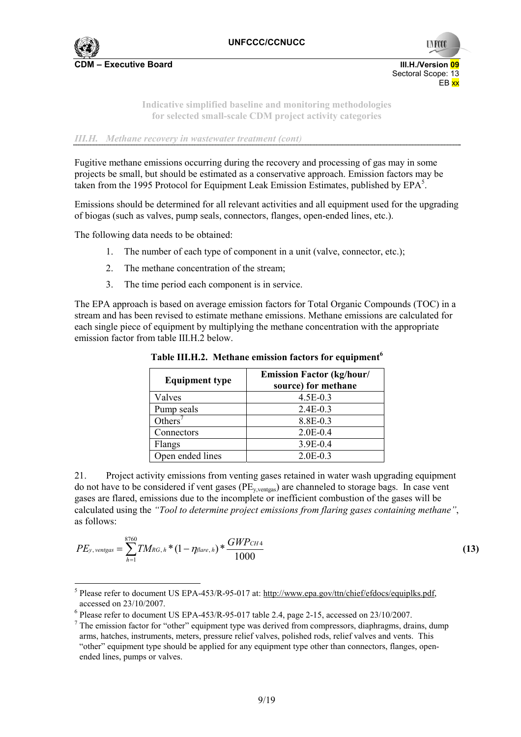

> **Indicative simplified baseline and monitoring methodologies for selected small-scale CDM project activity categories**

#### *III.H. Methane recovery in wastewater treatment (cont)*

Fugitive methane emissions occurring during the recovery and processing of gas may in some projects be small, but should be estimated as a conservative approach. Emission factors may be taken from the 1995 Protocol for Equipment Leak Emission Estimates, published by  $EPA<sup>5</sup>$ .

Emissions should be determined for all relevant activities and all equipment used for the upgrading of biogas (such as valves, pump seals, connectors, flanges, open-ended lines, etc.).

The following data needs to be obtained:

- 1. The number of each type of component in a unit (valve, connector, etc.);
- 2. The methane concentration of the stream;
- 3. The time period each component is in service.

The EPA approach is based on average emission factors for Total Organic Compounds (TOC) in a stream and has been revised to estimate methane emissions. Methane emissions are calculated for each single piece of equipment by multiplying the methane concentration with the appropriate emission factor from table III.H.2 below.

| <b>Equipment type</b> | <b>Emission Factor (kg/hour/</b><br>source) for methane |
|-----------------------|---------------------------------------------------------|
| Valves                | $4.5E - 0.3$                                            |
| Pump seals            | $2.4E - 0.3$                                            |
| Others <sup>7</sup>   | 8.8E-0.3                                                |
| Connectors            | $2.0E - 0.4$                                            |
| Flangs                | 3.9E-0.4                                                |
| Open ended lines      | $2.0E - 0.3$                                            |

**Table III.H.2. Methane emission factors for equipment<sup>6</sup>**

21. Project activity emissions from venting gases retained in water wash upgrading equipment do not have to be considered if vent gases (PE<sub>y, ventgas</sub>) are channeled to storage bags. In case vent gases are flared, emissions due to the incomplete or inefficient combustion of the gases will be calculated using the *"Tool to determine project emissions from flaring gases containing methane"*, as follows:

$$
PE_{y, \text{ ventgas}} = \sum_{h=1}^{8760} TM_{RG, h} * (1 - \eta_{flare, h}) * \frac{GWP_{CH4}}{1000}
$$

 $(13)$ 

<sup>5</sup> Please refer to document US EPA-453/R-95-017 at: http://www.epa.gov/ttn/chief/efdocs/equiplks.pdf, accessed on 23/10/2007.

 $^6$  Please refer to document US EPA-453/R-95-017 table 2.4, page 2-15, accessed on 23/10/2007.

 $\frac{7}{1}$  The emission factor for "other" equipment type was derived from compressors, diaphragms, drains, dump arms, hatches, instruments, meters, pressure relief valves, polished rods, relief valves and vents. This "other" equipment type should be applied for any equipment type other than connectors, flanges, openended lines, pumps or valves.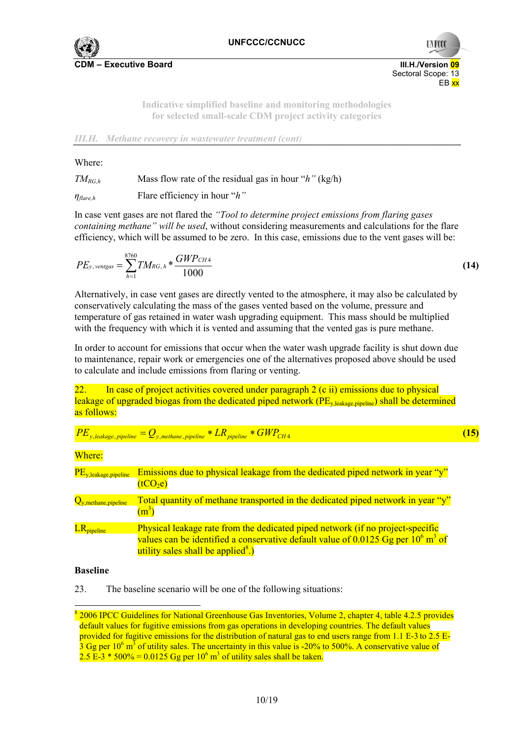



**Indicative simplified baseline and monitoring methodologies for selected small-scale CDM project activity categories** 

*III.H. Methane recovery in wastewater treatment (cont)* 

Where:

*TM<sub>RGh</sub>* Mass flow rate of the residual gas in hour "*h*" (kg/h)

*ηflare,h* Flare efficiency in hour "*h"* 

In case vent gases are not flared the *"Tool to determine project emissions from flaring gases containing methane" will be used*, without considering measurements and calculations for the flare efficiency, which will be assumed to be zero. In this case, emissions due to the vent gases will be:

$$
PE_{y, \text{ventgas}} = \sum_{h=1}^{8760} TM_{RG, h} * \frac{GWP_{CH4}}{1000}
$$
 (14)

Alternatively, in case vent gases are directly vented to the atmosphere, it may also be calculated by conservatively calculating the mass of the gases vented based on the volume, pressure and temperature of gas retained in water wash upgrading equipment. This mass should be multiplied with the frequency with which it is vented and assuming that the vented gas is pure methane.

In order to account for emissions that occur when the water wash upgrade facility is shut down due to maintenance, repair work or emergencies one of the alternatives proposed above should be used to calculate and include emissions from flaring or venting.

22. In case of project activities covered under paragraph 2 (c ii) emissions due to physical leakage of upgraded biogas from the dedicated piped network (PE<sub>v, leakage, pipeline</sub>) shall be determined as follows:

$$
PE_{y,\text{leakage, pipeline}} = Q_{y,\text{methane, pipeline}} * LR_{\text{pipeline}} * GWP_{CH4}
$$
\n(15)

Where:

| $PEv$ leakage, pipeline           | Emissions due to physical leakage from the dedicated piped network in year " $y$ "<br>(tCO <sub>2</sub> e)                                                                                                                          |
|-----------------------------------|-------------------------------------------------------------------------------------------------------------------------------------------------------------------------------------------------------------------------------------|
| $Q_{y, \text{methane, pipeline}}$ | Total quantity of methane transported in the dedicated piped network in year " $y$ "<br>$(m^3)$                                                                                                                                     |
| $LR_{\text{pipeline}}$            | Physical leakage rate from the dedicated piped network (if no project-specific<br>values can be identified a conservative default value of 0.0125 Gg per $10^6$ m <sup>3</sup> of<br>utility sales shall be applied <sup>8</sup> .) |

## **Baseline**

23. The baseline scenario will be one of the following situations:

<sup>&</sup>lt;sup>8</sup> 2006 IPCC Guidelines for National Greenhouse Gas Inventories, Volume 2, chapter 4, table 4.2.5 provides default values for fugitive emissions from gas operations in developing countries. The default values provided for fugitive emissions for the distribution of natural gas to end users range from 1.1 E-3 to 2.5 E- $\frac{3}{3}$  Gg per 10<sup>6</sup> m<sup>3</sup> of utility sales. The uncertainty in this value is -20% to 500%. A conservative value of  $2.5 \text{ E-3}$  \* 500% = 0.0125 Gg per 10<sup>6</sup> m<sup>3</sup> of utility sales shall be taken.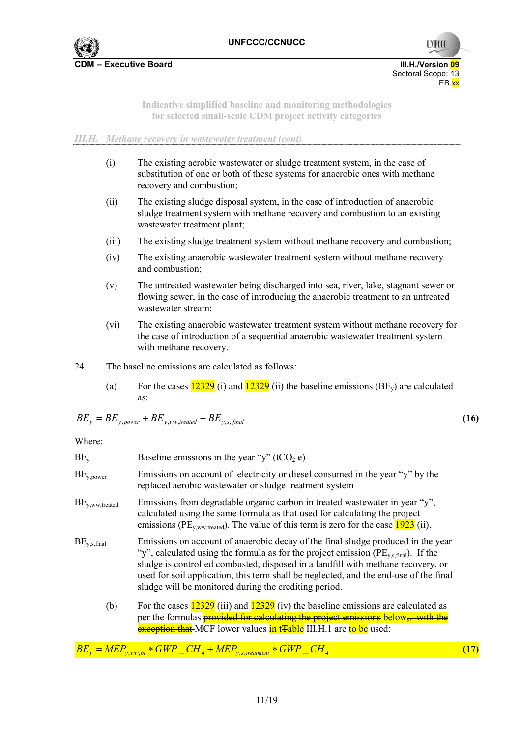

**UNFCO** 

**Indicative simplified baseline and monitoring methodologies for selected small-scale CDM project activity categories** 

#### *III.H. Methane recovery in wastewater treatment (cont)*

- (i) The existing aerobic wastewater or sludge treatment system, in the case of substitution of one or both of these systems for anaerobic ones with methane recovery and combustion;
- (ii) The existing sludge disposal system, in the case of introduction of anaerobic sludge treatment system with methane recovery and combustion to an existing wastewater treatment plant;
- (iii) The existing sludge treatment system without methane recovery and combustion;
- (iv) The existing anaerobic wastewater treatment system without methane recovery and combustion;
- (v) The untreated wastewater being discharged into sea, river, lake, stagnant sewer or flowing sewer, in the case of introducing the anaerobic treatment to an untreated wastewater stream;
- (vi) The existing anaerobic wastewater treatment system without methane recovery for the case of introduction of a sequential anaerobic wastewater treatment system with methane recovery.
- 24. The baseline emissions are calculated as follows:
	- (a) For the cases  $\frac{12329}{2}$  (i) and  $\frac{12329}{2}$  (ii) the baseline emissions (BE<sub>y</sub>) are calculated as:

$$
BE_{y} = BE_{y, power} + BE_{y, ww, treated} + BE_{y,s, final}
$$
\n(16)

Where:

| $BE_v$               | Baseline emissions in the year "y" (tCO <sub>2</sub> e)                                                                                                                                                                                                                                                                                                                                                              |
|----------------------|----------------------------------------------------------------------------------------------------------------------------------------------------------------------------------------------------------------------------------------------------------------------------------------------------------------------------------------------------------------------------------------------------------------------|
| $BE_{y,power}$       | Emissions on account of electricity or diesel consumed in the year "y" by the<br>replaced aerobic wastewater or sludge treatment system                                                                                                                                                                                                                                                                              |
| $BE_{y,ww, treated}$ | Emissions from degradable organic carbon in treated wastewater in year "y",<br>calculated using the same formula as that used for calculating the project<br>emissions (PE <sub>v,ww,treated</sub> ). The value of this term is zero for the case $\frac{1923}{10}$ (ii).                                                                                                                                            |
| $BE_{v,s,final}$     | Emissions on account of anaerobic decay of the final sludge produced in the year<br>"y", calculated using the formula as for the project emission ( $PE_{v,s,final}$ ). If the<br>sludge is controlled combusted, disposed in a landfill with methane recovery, or<br>used for soil application, this term shall be neglected, and the end-use of the final<br>sludge will be monitored during the crediting period. |
| (b)                  | For the cases $\frac{12329}{2}$ (iii) and $\frac{12329}{2}$ (iv) the baseline emissions are calculated as<br>per the formulas <b>provided for calculating the project emissions below</b> <sub>s</sub> . with the<br>exception that MCF lower values in t <del>Table</del> III.H.1 are to be used:                                                                                                                   |

 $BE_v = MEP_{v,ww,bl} * GWP\_CH_4 + MEP_{v,s,treatment} * GWP\_CH_4$  (17)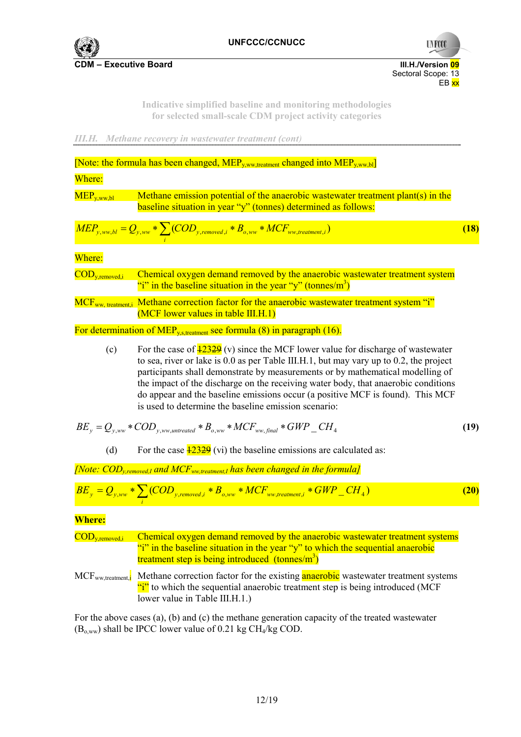

**UNFCCC** 

**Indicative simplified baseline and monitoring methodologies for selected small-scale CDM project activity categories** 

*III.H. Methane recovery in wastewater treatment (cont)* 

| [Note: the formula has been changed, $MEP_{v,ww, treatment}$ changed into $MEP_{v,ww,b1}$ ] |                                                                                                                                                                                                                                                                                                                                                                                                                                                                                                           |      |
|---------------------------------------------------------------------------------------------|-----------------------------------------------------------------------------------------------------------------------------------------------------------------------------------------------------------------------------------------------------------------------------------------------------------------------------------------------------------------------------------------------------------------------------------------------------------------------------------------------------------|------|
| Where:                                                                                      |                                                                                                                                                                                                                                                                                                                                                                                                                                                                                                           |      |
| $MEP_{v,ww,bl}$                                                                             | Methane emission potential of the anaerobic wastewater treatment plant(s) in the<br>baseline situation in year "y" (tonnes) determined as follows:                                                                                                                                                                                                                                                                                                                                                        |      |
|                                                                                             | $\overline{MEP}_{y,ww,bl} = Q_{y,ww} * \sum_i (COD_{y,removed,i} * B_{o,ww} * MCF_{ww, treatment,i})$                                                                                                                                                                                                                                                                                                                                                                                                     | (18) |
| Where:                                                                                      |                                                                                                                                                                                                                                                                                                                                                                                                                                                                                                           |      |
| $\rm{COD}_{v, removed, i}$                                                                  | Chemical oxygen demand removed by the anaerobic wastewater treatment system<br>"i" in the baseline situation in the year "y" (tonnes/m <sup>3</sup> )                                                                                                                                                                                                                                                                                                                                                     |      |
|                                                                                             | MCF <sub>ww, treatment,i</sub> Methane correction factor for the anaerobic wastewater treatment system "i"<br>(MCF lower values in table III.H.1)                                                                                                                                                                                                                                                                                                                                                         |      |
|                                                                                             | For determination of $MEP_{y,s,treatment}$ see formula (8) in paragraph (16).                                                                                                                                                                                                                                                                                                                                                                                                                             |      |
| (c)                                                                                         | For the case of $\frac{12329}{2}$ (v) since the MCF lower value for discharge of wastewater<br>to sea, river or lake is $0.0$ as per Table III.H.1, but may vary up to 0.2, the project<br>participants shall demonstrate by measurements or by mathematical modelling of<br>the impact of the discharge on the receiving water body, that anaerobic conditions<br>do appear and the baseline emissions occur (a positive MCF is found). This MCF<br>is used to determine the baseline emission scenario: |      |
|                                                                                             | $BE_y = Q_{y,ww} * COD_{y,ww,untreated} * B_{o,ww} * MCF_{ww,final} * GWP\_CH_4$                                                                                                                                                                                                                                                                                                                                                                                                                          | (19) |
| (d)                                                                                         | For the case $\frac{12329}{ }$ (vi) the baseline emissions are calculated as:                                                                                                                                                                                                                                                                                                                                                                                                                             |      |
|                                                                                             | [Note: $\overline{COD}_{y,removed, I}$ and $MCF_{ww, treatment, I}$ has been changed in the formula]                                                                                                                                                                                                                                                                                                                                                                                                      |      |
|                                                                                             | $\label{eq:BE} BE_y = Q_{y,ww} * \sum_i (COD_{y,removed,i} * B_{o,ww} * MCF_{ww, treatment,i} * GWP\_CH_4)$                                                                                                                                                                                                                                                                                                                                                                                               | (20) |
| <b>Where:</b>                                                                               |                                                                                                                                                                                                                                                                                                                                                                                                                                                                                                           |      |
| $\overline{\mathrm{COD}_{y,\mathrm{removed},i}}$                                            | Chemical oxygen demand removed by the anaerobic wastewater treatment systems<br>"i" in the baseline situation in the year "y" to which the sequential anaerobic<br>treatment step is being introduced (tonnes/ $m^3$ )                                                                                                                                                                                                                                                                                    |      |
| $MCF_{ww, treatment, i}$                                                                    | Methane correction factor for the existing <b>anaerobic</b> wastewater treatment systems<br>"i" to which the sequential anaerobic treatment step is being introduced (MCF<br>lower value in Table III.H.1.)                                                                                                                                                                                                                                                                                               |      |

For the above cases (a), (b) and (c) the methane generation capacity of the treated wastewater  $(B_{o,ww})$  shall be IPCC lower value of 0.21 kg CH<sub>4</sub>/kg COD.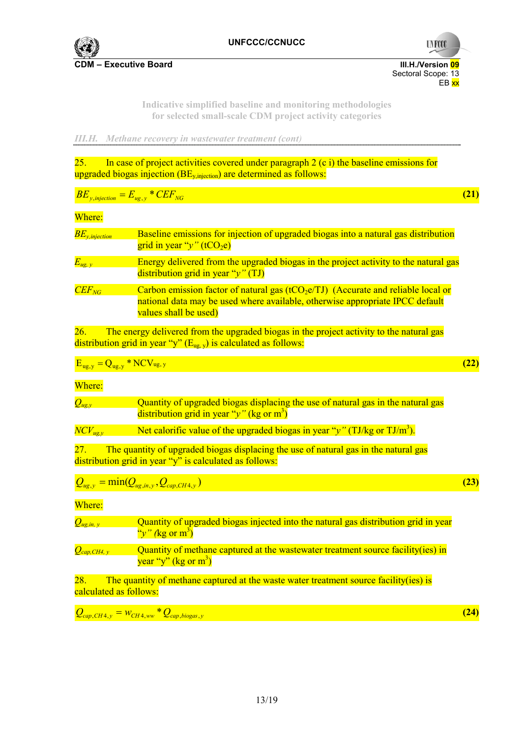

**UNFCCC** 

Sectoral Scope: 13<br>EB xx en de la provincia de la provincia de la provincia de la provincia de la provincia de la provincia de la provi

> **Indicative simplified baseline and monitoring methodologies for selected small-scale CDM project activity categories**

*III.H. Methane recovery in wastewater treatment (cont)* 

25. In case of project activities covered under paragraph  $2$  (c i) the baseline emissions for upgraded biogas injection  $(BE_{y, injection})$  are determined as follows:

$$
BE_{y, injection} = E_{ug, y} * CEF_{NG}
$$
 (21)

Where:

| $BE_{y,injection}$ | Baseline emissions for injection of upgraded biogas into a natural gas distribution<br>grid in year " $y$ " (tCO <sub>2</sub> e)                                                               |
|--------------------|------------------------------------------------------------------------------------------------------------------------------------------------------------------------------------------------|
| $E_{ug, y}$        | Energy delivered from the upgraded biogas in the project activity to the natural gas<br>distribution grid in year " $y$ " (TJ)                                                                 |
| $CEF_{NG}$         | Carbon emission factor of natural gas ( $tCO2e/TJ$ ) (Accurate and reliable local or<br>national data may be used where available, otherwise appropriate IPCC default<br>values shall be used) |

26. The energy delivered from the upgraded biogas in the project activity to the natural gas distribution grid in year "y"  $(E_{ug, y})$  is calculated as follows:

$$
E_{ug,y} = Q_{ug,y} * NCV_{ug,y}
$$
 (22)

Where:

| $Q_{ug,y}$ | Quantity of upgraded biogas displacing the use of natural gas in the natural gas |
|------------|----------------------------------------------------------------------------------|
|            | distribution grid in year " $y$ " (kg or m <sup>3</sup> )                        |

*NCVug,y* Net calorific value of the upgraded biogas in year "*y"* (TJ/kg or TJ/m3 ).

27. The quantity of upgraded biogas displacing the use of natural gas in the natural gas distribution grid in year "y" is calculated as follows:

$$
Q_{ug,y} = \min(Q_{ug,in,y}, Q_{cap,CH4,y})
$$
\n(23)

Where:

| $Q_{ug,in, y}$   | Quantity of upgraded biogas injected into the natural gas distribution grid in year<br>" $y''$ (kg or m <sup>3</sup> ) |
|------------------|------------------------------------------------------------------------------------------------------------------------|
| $Q_{cap,CH4, y}$ | Quantity of methane captured at the wastewater treatment source facility (ies) in<br>year "y" (kg or $m^3$ )           |
| 28.              | The quantity of methane captured at the waste water treatment source facility (ies) is                                 |

calculated as follows:

$$
Q_{cap,CH4,y} = w_{CH4,ww} * Q_{cap,biogas,y}
$$
\n
$$
(24)
$$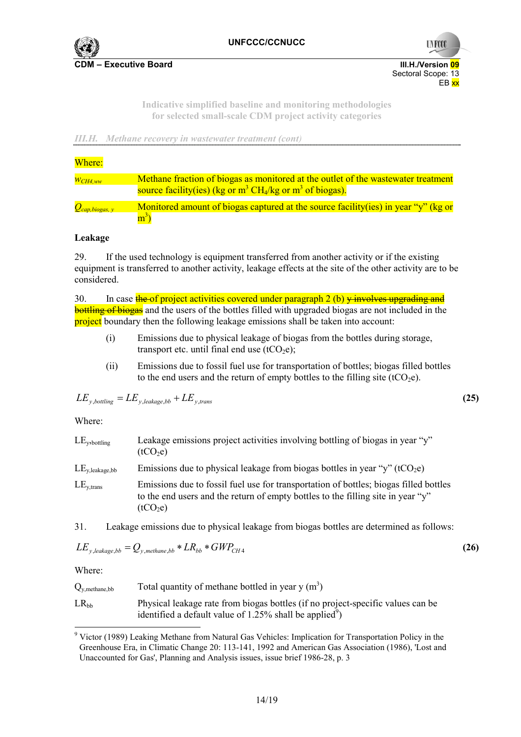

**UNFCO** Sectoral Scope: 13

**Indicative simplified baseline and monitoring methodologies for selected small-scale CDM project activity categories** 

en de la provincia de la provincia de la provincia de la provincia de la provincia de la provincia de la provi

*III.H. Methane recovery in wastewater treatment (cont)* 

| Where:              |                                                                                                                                                                 |
|---------------------|-----------------------------------------------------------------------------------------------------------------------------------------------------------------|
| $W_{CH4,ww}$        | Methane fraction of biogas as monitored at the outlet of the wastewater treatment<br>source facility(ies) (kg or $m^3$ CH <sub>4</sub> /kg or $m^3$ of biogas). |
| $Q_{cap,biogas, y}$ | Monitored amount of biogas captured at the source facility(ies) in year "y" (kg or<br>$\mathbf{m}^3$                                                            |

## **Leakage**

29. If the used technology is equipment transferred from another activity or if the existing equipment is transferred to another activity, leakage effects at the site of the other activity are to be considered.

30. In case  $\frac{f_{\text{the-of}}}{f_{\text{inoc}}}\$  activities covered under paragraph 2 (b)  $\frac{g_{\text{inoc}}}{g_{\text{inoc}}}\$  involves upgrading and **bottling of biogas** and the users of the bottles filled with upgraded biogas are not included in the project boundary then the following leakage emissions shall be taken into account:

- (i) Emissions due to physical leakage of biogas from the bottles during storage, transport etc. until final end use  $(tCO<sub>2</sub>e)$ ;
- (ii) Emissions due to fossil fuel use for transportation of bottles; biogas filled bottles to the end users and the return of empty bottles to the filling site  $(tCO_2e)$ .

$$
LE_{y,botling} = LE_{y,leakage,bb} + LE_{y,trans}
$$
\n(25)

Where:

| $LE_{\rm v,bottling}$                                   | Leakage emissions project activities involving bottling of biogas in year "y"<br>(tCO <sub>2</sub> e)                                                                                             |
|---------------------------------------------------------|---------------------------------------------------------------------------------------------------------------------------------------------------------------------------------------------------|
| $\mathrm{LE}_{\mathrm{v},\mathrm{leakage},\mathrm{bb}}$ | Emissions due to physical leakage from biogas bottles in year "y" (tCO <sub>2</sub> e)                                                                                                            |
| $LE_{v,trans}$                                          | Emissions due to fossil fuel use for transportation of bottles; biogas filled bottles<br>to the end users and the return of empty bottles to the filling site in year "y"<br>(tCO <sub>2</sub> e) |

31. Leakage emissions due to physical leakage from biogas bottles are determined as follows:

$$
LE_{y,leakage,bb} = Q_{y,methane,bb} * LR_{bb} * GWP_{CH4}
$$
\n(26)

Where:

| $Q_{v, \text{methane}, bb}$ | Total quantity of methane bottled in year $y(m^3)$                                                                                                        |
|-----------------------------|-----------------------------------------------------------------------------------------------------------------------------------------------------------|
| $LR_{hh}$                   | Physical leakage rate from biogas bottles (if no project-specific values can be<br>identified a default value of $1.25\%$ shall be applied <sup>9</sup> ) |

<sup>&</sup>lt;sup>9</sup> Victor (1989) Leaking Methane from Natural Gas Vehicles: Implication for Transportation Policy in the Greenhouse Era, in Climatic Change 20: 113-141, 1992 and American Gas Association (1986), 'Lost and Unaccounted for Gas', Planning and Analysis issues, issue brief 1986-28, p. 3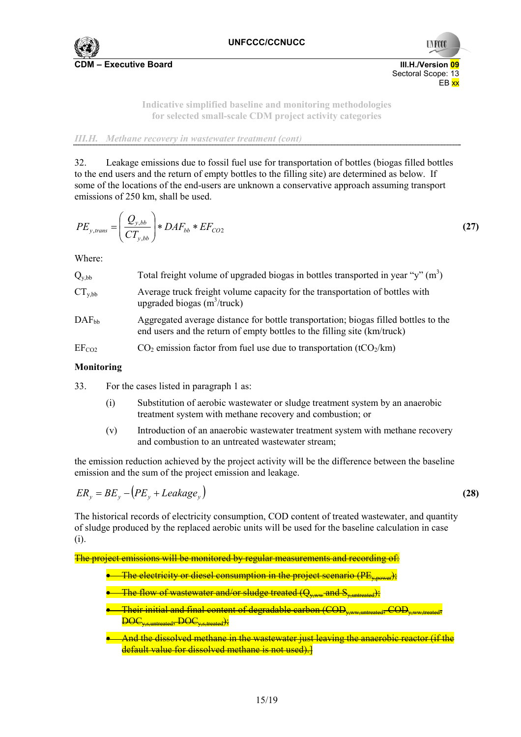



**Indicative simplified baseline and monitoring methodologies for selected small-scale CDM project activity categories** 

#### *III.H. Methane recovery in wastewater treatment (cont)*

32. Leakage emissions due to fossil fuel use for transportation of bottles (biogas filled bottles to the end users and the return of empty bottles to the filling site) are determined as below. If some of the locations of the end-users are unknown a conservative approach assuming transport emissions of 250 km, shall be used.

$$
PE_{y,trans} = \left(\frac{Q_{y,bb}}{CT_{y,bb}}\right) * DAF_{bb} * EF_{CO2}
$$
\n(27)

Where:

| $Q_{v,bb}$        | Total freight volume of upgraded biogas in bottles transported in year "y" $(m3)$                                                                               |
|-------------------|-----------------------------------------------------------------------------------------------------------------------------------------------------------------|
| $CT_{v,bb}$       | Average truck freight volume capacity for the transportation of bottles with<br>upgraded biogas $(m^3$ /truck)                                                  |
| $DAF_{hh}$        | Aggregated average distance for bottle transportation; biogas filled bottles to the<br>end users and the return of empty bottles to the filling site (km/truck) |
| EF <sub>CO2</sub> | $CO2$ emission factor from fuel use due to transportation (tCO <sub>2</sub> /km)                                                                                |

## **Monitoring**

33. For the cases listed in paragraph 1 as:

- (i) Substitution of aerobic wastewater or sludge treatment system by an anaerobic treatment system with methane recovery and combustion; or
- (v) Introduction of an anaerobic wastewater treatment system with methane recovery and combustion to an untreated wastewater stream;

the emission reduction achieved by the project activity will be the difference between the baseline emission and the sum of the project emission and leakage.

$$
ER_y = BE_y - (PE_y + Leakage_y)
$$
 (28)

The historical records of electricity consumption, COD content of treated wastewater, and quantity of sludge produced by the replaced aerobic units will be used for the baseline calculation in case (i).

The project emissions will be monitored by regular measurements and recording of:

- The electricity or diesel consumption in the project scenario (PI
- The flow of wastewater and/or sludge treated  $(\bigodot_{uvw}$  and S
- Their initial and final content of degradable carbon (COD DOCy,s,untreated, DOCy,s,treated);
- **And the dissolved methane in the wastewater just leaving the anaerobic reactor (if the** default value for dissolved methane is not used).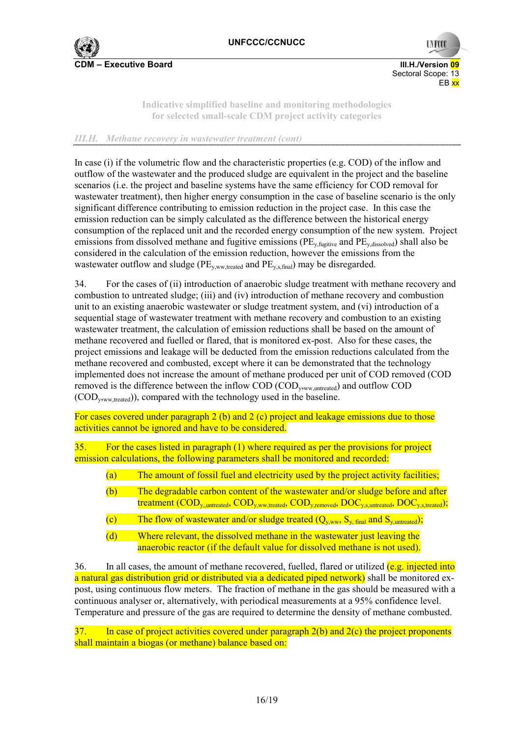

**UNFCC** 

**Indicative simplified baseline and monitoring methodologies for selected small-scale CDM project activity categories** 

## *III.H. Methane recovery in wastewater treatment (cont)*

In case (i) if the volumetric flow and the characteristic properties (e.g. COD) of the inflow and outflow of the wastewater and the produced sludge are equivalent in the project and the baseline scenarios (i.e. the project and baseline systems have the same efficiency for COD removal for wastewater treatment), then higher energy consumption in the case of baseline scenario is the only significant difference contributing to emission reduction in the project case. In this case the emission reduction can be simply calculated as the difference between the historical energy consumption of the replaced unit and the recorded energy consumption of the new system. Project emissions from dissolved methane and fugitive emissions ( $PE_{v, \text{fugitive}}$  and  $PE_{v, \text{dissolved}}$ ) shall also be considered in the calculation of the emission reduction, however the emissions from the wastewater outflow and sludge ( $PE_{v,ww, treated}$  and  $PE_{v,shiral}$ ) may be disregarded.

34. For the cases of (ii) introduction of anaerobic sludge treatment with methane recovery and combustion to untreated sludge; (iii) and (iv) introduction of methane recovery and combustion unit to an existing anaerobic wastewater or sludge treatment system, and (vi) introduction of a sequential stage of wastewater treatment with methane recovery and combustion to an existing wastewater treatment, the calculation of emission reductions shall be based on the amount of methane recovered and fuelled or flared, that is monitored ex-post. Also for these cases, the project emissions and leakage will be deducted from the emission reductions calculated from the methane recovered and combusted, except where it can be demonstrated that the technology implemented does not increase the amount of methane produced per unit of COD removed (COD removed is the difference between the inflow COD (COD<sub>y,ww,untreated</sub>) and outflow COD  $(COD<sub>v,ww</sub>$  treated)), compared with the technology used in the baseline.

For cases covered under paragraph 2 (b) and 2 (c) project and leakage emissions due to those activities cannot be ignored and have to be considered.

35. For the cases listed in paragraph (1) where required as per the provisions for project emission calculations, the following parameters shall be monitored and recorded:

- (a) The amount of fossil fuel and electricity used by the project activity facilities;
- (b) The degradable carbon content of the wastewater and/or sludge before and after treatment  $(COD_{v,\text{untracted}}, COD_{v,\text{ww, treated}}, COD_{v,\text{removed}}, DOC_{v,\text{s,untracted}});$
- (c) The flow of wastewater and/or sludge treated  $(Q_{v,ww}, S_{v,final}$  and  $S_{v,untracted})$ ;
- (d) Where relevant, the dissolved methane in the wastewater just leaving the anaerobic reactor (if the default value for dissolved methane is not used).

36. In all cases, the amount of methane recovered, fuelled, flared or utilized  $(e.g.$  injected into a natural gas distribution grid or distributed via a dedicated piped network) shall be monitored expost, using continuous flow meters. The fraction of methane in the gas should be measured with a continuous analyser or, alternatively, with periodical measurements at a 95% confidence level. Temperature and pressure of the gas are required to determine the density of methane combusted.

37. In case of project activities covered under paragraph 2(b) and 2(c) the project proponents shall maintain a biogas (or methane) balance based on: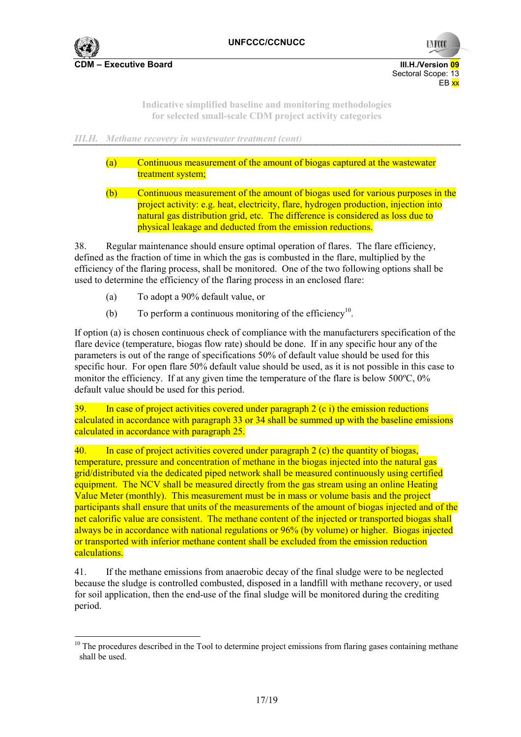

 Sectoral Scope: 13 en de la provincia de la provincia de la provincia de la provincia de la provincia de la provincia de la provi

**UNFCC** 

**Indicative simplified baseline and monitoring methodologies for selected small-scale CDM project activity categories** 

*III.H. Methane recovery in wastewater treatment (cont)* 

- (a) Continuous measurement of the amount of biogas captured at the wastewater treatment system;
- (b) Continuous measurement of the amount of biogas used for various purposes in the project activity: e.g. heat, electricity, flare, hydrogen production, injection into natural gas distribution grid, etc. The difference is considered as loss due to physical leakage and deducted from the emission reductions.

38. Regular maintenance should ensure optimal operation of flares. The flare efficiency, defined as the fraction of time in which the gas is combusted in the flare, multiplied by the efficiency of the flaring process, shall be monitored. One of the two following options shall be used to determine the efficiency of the flaring process in an enclosed flare:

- (a) To adopt a 90% default value, or
- (b) To perform a continuous monitoring of the efficiency<sup>10</sup>.

If option (a) is chosen continuous check of compliance with the manufacturers specification of the flare device (temperature, biogas flow rate) should be done. If in any specific hour any of the parameters is out of the range of specifications 50% of default value should be used for this specific hour. For open flare 50% default value should be used, as it is not possible in this case to monitor the efficiency. If at any given time the temperature of the flare is below 500ºC, 0% default value should be used for this period.

 $39.$  In case of project activities covered under paragraph 2 (c i) the emission reductions calculated in accordance with paragraph 33 or 34 shall be summed up with the baseline emissions calculated in accordance with paragraph 25.

 $40.$  In case of project activities covered under paragraph 2 (c) the quantity of biogas, temperature, pressure and concentration of methane in the biogas injected into the natural gas grid/distributed via the dedicated piped network shall be measured continuously using certified equipment. The NCV shall be measured directly from the gas stream using an online Heating Value Meter (monthly). This measurement must be in mass or volume basis and the project participants shall ensure that units of the measurements of the amount of biogas injected and of the net calorific value are consistent. The methane content of the injected or transported biogas shall always be in accordance with national regulations or 96% (by volume) or higher. Biogas injected or transported with inferior methane content shall be excluded from the emission reduction calculations.

41. If the methane emissions from anaerobic decay of the final sludge were to be neglected because the sludge is controlled combusted, disposed in a landfill with methane recovery, or used for soil application, then the end-use of the final sludge will be monitored during the crediting period.

 $10$  The procedures described in the Tool to determine project emissions from flaring gases containing methane shall be used.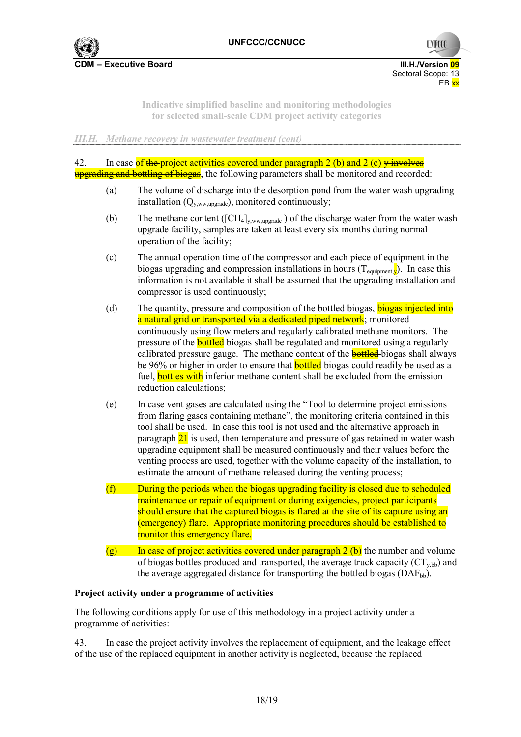

**UNFCO** 

**Indicative simplified baseline and monitoring methodologies for selected small-scale CDM project activity categories** 

*III.H. Methane recovery in wastewater treatment (cont)* 

42. In case of the project activities covered under paragraph 2 (b) and 2 (c)  $\overline{v}$  involves upgrading and bottling of biogas, the following parameters shall be monitored and recorded:

- (a) The volume of discharge into the desorption pond from the water wash upgrading installation  $(Q_{v,ww,upgrade})$ , monitored continuously;
- (b) The methane content ( $\text{[CH_4]}_{y,ww,upgrade}$ ) of the discharge water from the water wash upgrade facility, samples are taken at least every six months during normal operation of the facility;
- (c) The annual operation time of the compressor and each piece of equipment in the biogas upgrading and compression installations in hours  $(T_{\text{equipment}})$ . In case this information is not available it shall be assumed that the upgrading installation and compressor is used continuously;
- (d) The quantity, pressure and composition of the bottled biogas, **biogas injected into** a natural grid or transported via a dedicated piped network; monitored continuously using flow meters and regularly calibrated methane monitors. The pressure of the **bottled** biogas shall be regulated and monitored using a regularly calibrated pressure gauge. The methane content of the **bottled** biogas shall always be 96% or higher in order to ensure that **bottled** biogas could readily be used as a fuel, **bottles with** inferior methane content shall be excluded from the emission reduction calculations;
- (e) In case vent gases are calculated using the "Tool to determine project emissions from flaring gases containing methane", the monitoring criteria contained in this tool shall be used. In case this tool is not used and the alternative approach in paragraph 21 is used, then temperature and pressure of gas retained in water wash upgrading equipment shall be measured continuously and their values before the venting process are used, together with the volume capacity of the installation, to estimate the amount of methane released during the venting process;
- (f) During the periods when the biogas upgrading facility is closed due to scheduled maintenance or repair of equipment or during exigencies, project participants should ensure that the captured biogas is flared at the site of its capture using an (emergency) flare. Appropriate monitoring procedures should be established to monitor this emergency flare.
- $(g)$  In case of project activities covered under paragraph 2 (b) the number and volume of biogas bottles produced and transported, the average truck capacity  $(CT_{vbb})$  and the average aggregated distance for transporting the bottled biogas  $(DAF_{bb})$ .

#### **Project activity under a programme of activities**

The following conditions apply for use of this methodology in a project activity under a programme of activities:

43. In case the project activity involves the replacement of equipment, and the leakage effect of the use of the replaced equipment in another activity is neglected, because the replaced